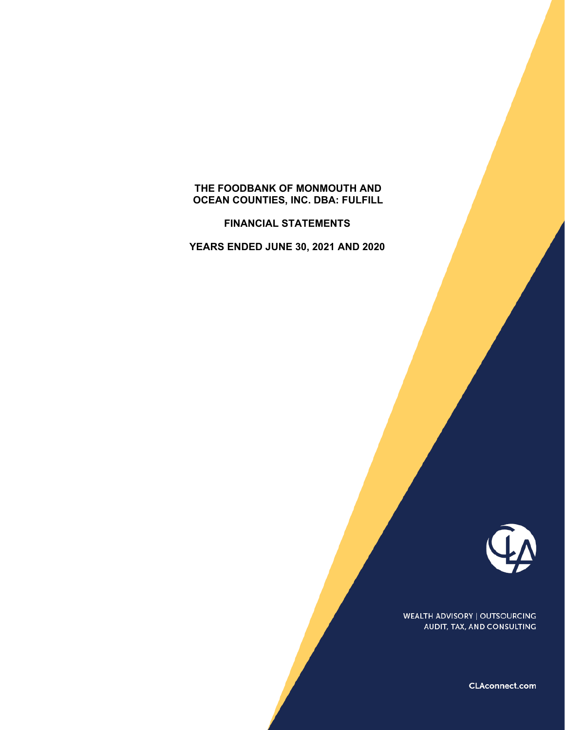# **THE FOODBANK OF MONMOUTH AND OCEAN COUNTIES, INC. DBA: FULFILL**

**FINANCIAL STATEMENTS** 

**YEARS ENDED JUNE 30, 2021 AND 2020** 



**WEALTH ADVISORY | OUTSOURCING** AUDIT, TAX, AND CONSULTING

CLAconnect.com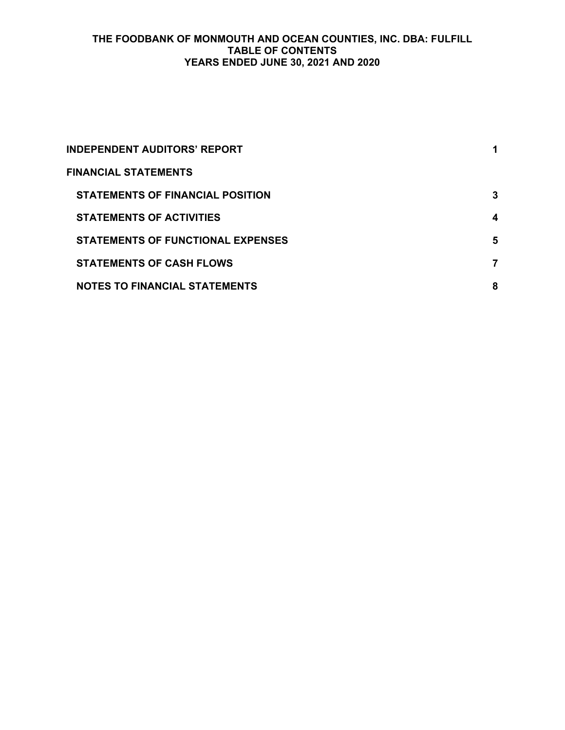## **THE FOODBANK OF MONMOUTH AND OCEAN COUNTIES, INC. DBA: FULFILL TABLE OF CONTENTS YEARS ENDED JUNE 30, 2021 AND 2020**

| <b>INDEPENDENT AUDITORS' REPORT</b>      |   |
|------------------------------------------|---|
| <b>FINANCIAL STATEMENTS</b>              |   |
| <b>STATEMENTS OF FINANCIAL POSITION</b>  | 3 |
| <b>STATEMENTS OF ACTIVITIES</b>          | 4 |
| <b>STATEMENTS OF FUNCTIONAL EXPENSES</b> | 5 |
| <b>STATEMENTS OF CASH FLOWS</b>          | 7 |
| <b>NOTES TO FINANCIAL STATEMENTS</b>     | 8 |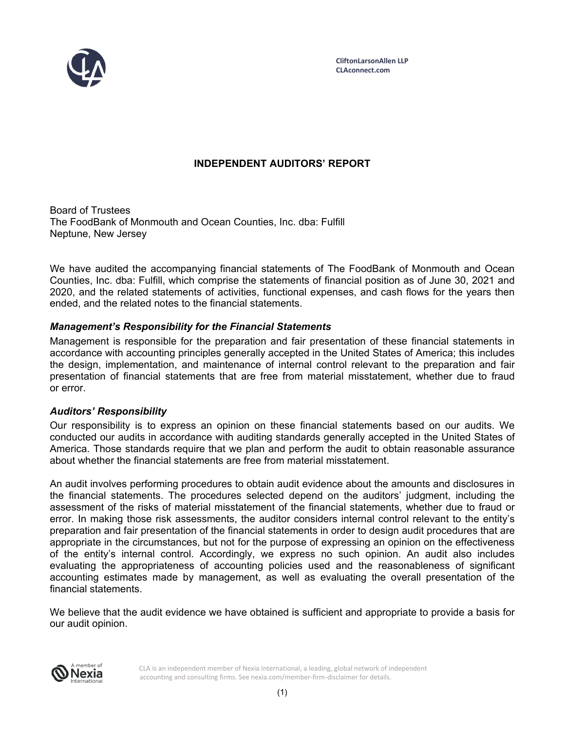

# **INDEPENDENT AUDITORS' REPORT**

Board of Trustees The FoodBank of Monmouth and Ocean Counties, Inc. dba: Fulfill Neptune, New Jersey

We have audited the accompanying financial statements of The FoodBank of Monmouth and Ocean Counties, Inc. dba: Fulfill, which comprise the statements of financial position as of June 30, 2021 and 2020, and the related statements of activities, functional expenses, and cash flows for the years then ended, and the related notes to the financial statements.

## *Management's Responsibility for the Financial Statements*

Management is responsible for the preparation and fair presentation of these financial statements in accordance with accounting principles generally accepted in the United States of America; this includes the design, implementation, and maintenance of internal control relevant to the preparation and fair presentation of financial statements that are free from material misstatement, whether due to fraud or error.

#### *Auditors' Responsibility*

Our responsibility is to express an opinion on these financial statements based on our audits. We conducted our audits in accordance with auditing standards generally accepted in the United States of America. Those standards require that we plan and perform the audit to obtain reasonable assurance about whether the financial statements are free from material misstatement.

An audit involves performing procedures to obtain audit evidence about the amounts and disclosures in the financial statements. The procedures selected depend on the auditors' judgment, including the assessment of the risks of material misstatement of the financial statements, whether due to fraud or error. In making those risk assessments, the auditor considers internal control relevant to the entity's preparation and fair presentation of the financial statements in order to design audit procedures that are appropriate in the circumstances, but not for the purpose of expressing an opinion on the effectiveness of the entity's internal control. Accordingly, we express no such opinion. An audit also includes evaluating the appropriateness of accounting policies used and the reasonableness of significant accounting estimates made by management, as well as evaluating the overall presentation of the financial statements.

We believe that the audit evidence we have obtained is sufficient and appropriate to provide a basis for our audit opinion.



CLA is an independent member of Nexia International, a leading, global network of independent accounting and consulting firms. See nexia.com/member-firm-disclaimer for details.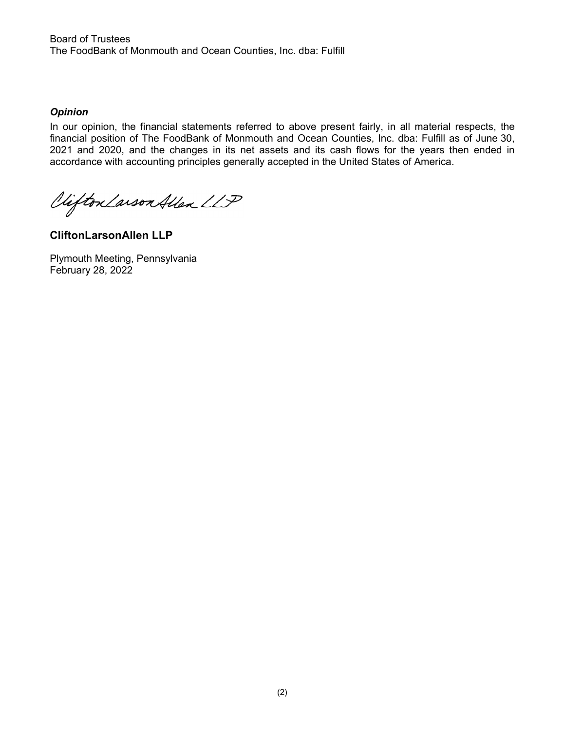Board of Trustees The FoodBank of Monmouth and Ocean Counties, Inc. dba: Fulfill

## *Opinion*

In our opinion, the financial statements referred to above present fairly, in all material respects, the financial position of The FoodBank of Monmouth and Ocean Counties, Inc. dba: Fulfill as of June 30, 2021 and 2020, and the changes in its net assets and its cash flows for the years then ended in accordance with accounting principles generally accepted in the United States of America.

Vifton Larson Allen LLP

**CliftonLarsonAllen LLP** 

Plymouth Meeting, Pennsylvania February 28, 2022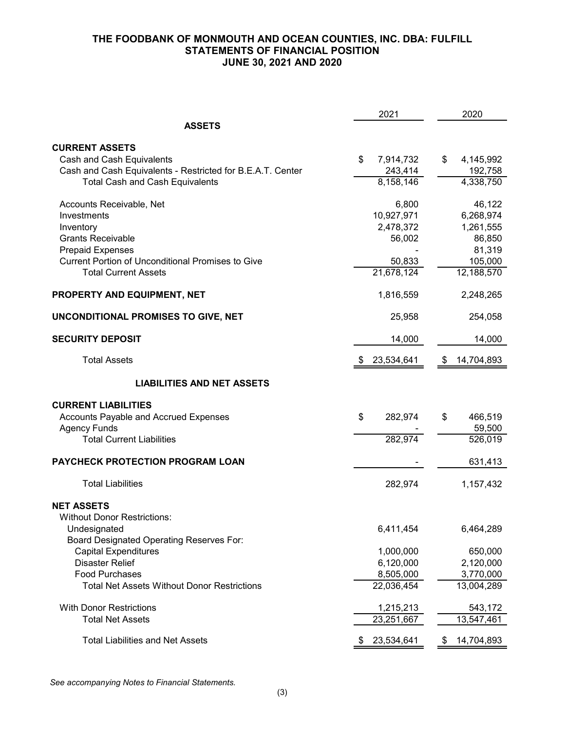## **THE FOODBANK OF MONMOUTH AND OCEAN COUNTIES, INC. DBA: FULFILL STATEMENTS OF FINANCIAL POSITION JUNE 30, 2021 AND 2020**

|                                                                                                                                                                                                                                                                              | 2021                                                                                      | 2020                                                                                                  |
|------------------------------------------------------------------------------------------------------------------------------------------------------------------------------------------------------------------------------------------------------------------------------|-------------------------------------------------------------------------------------------|-------------------------------------------------------------------------------------------------------|
| <b>ASSETS</b>                                                                                                                                                                                                                                                                |                                                                                           |                                                                                                       |
| <b>CURRENT ASSETS</b><br>Cash and Cash Equivalents<br>Cash and Cash Equivalents - Restricted for B.E.A.T. Center<br><b>Total Cash and Cash Equivalents</b>                                                                                                                   | \$<br>7,914,732<br>243,414<br>8,158,146                                                   | 4,145,992<br>\$<br>192,758<br>4,338,750                                                               |
| Accounts Receivable, Net<br>Investments<br>Inventory<br><b>Grants Receivable</b><br><b>Prepaid Expenses</b><br><b>Current Portion of Unconditional Promises to Give</b><br><b>Total Current Assets</b><br>PROPERTY AND EQUIPMENT, NET<br>UNCONDITIONAL PROMISES TO GIVE, NET | 6,800<br>10,927,971<br>2,478,372<br>56,002<br>50,833<br>21,678,124<br>1,816,559<br>25,958 | 46,122<br>6,268,974<br>1,261,555<br>86,850<br>81,319<br>105,000<br>12,188,570<br>2,248,265<br>254,058 |
|                                                                                                                                                                                                                                                                              |                                                                                           |                                                                                                       |
| <b>SECURITY DEPOSIT</b>                                                                                                                                                                                                                                                      | 14,000                                                                                    | 14,000                                                                                                |
| <b>Total Assets</b>                                                                                                                                                                                                                                                          | 23,534,641<br>\$                                                                          | 14,704,893<br>\$                                                                                      |
| <b>LIABILITIES AND NET ASSETS</b>                                                                                                                                                                                                                                            |                                                                                           |                                                                                                       |
| <b>CURRENT LIABILITIES</b><br>Accounts Payable and Accrued Expenses<br><b>Agency Funds</b><br><b>Total Current Liabilities</b>                                                                                                                                               | 282,974<br>\$<br>282,974                                                                  | \$<br>466,519<br>59,500<br>526,019                                                                    |
| PAYCHECK PROTECTION PROGRAM LOAN                                                                                                                                                                                                                                             |                                                                                           | 631,413                                                                                               |
| <b>Total Liabilities</b>                                                                                                                                                                                                                                                     | 282,974                                                                                   | 1,157,432                                                                                             |
| <b>NET ASSETS</b><br>Without Donor Restrictions:<br>Undesignated<br>Board Designated Operating Reserves For:<br><b>Capital Expenditures</b><br><b>Disaster Relief</b><br><b>Food Purchases</b>                                                                               | 6,411,454<br>1,000,000<br>6,120,000<br>8,505,000                                          | 6,464,289<br>650,000<br>2,120,000<br>3,770,000                                                        |
| <b>Total Net Assets Without Donor Restrictions</b>                                                                                                                                                                                                                           | 22,036,454                                                                                | 13,004,289                                                                                            |
| <b>With Donor Restrictions</b><br><b>Total Net Assets</b>                                                                                                                                                                                                                    | 1,215,213<br>23,251,667                                                                   | 543,172<br>13,547,461                                                                                 |
| <b>Total Liabilities and Net Assets</b>                                                                                                                                                                                                                                      | 23,534,641                                                                                | 14,704,893                                                                                            |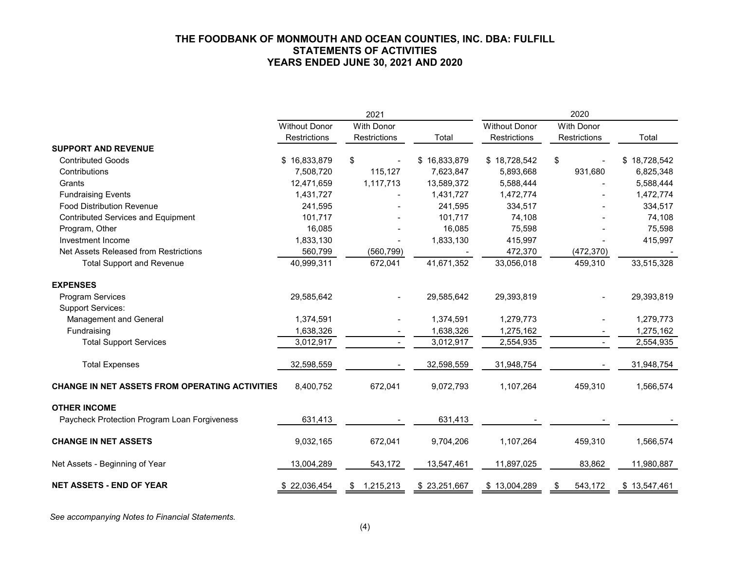#### **THE FOODBANK OF MONMOUTH AND OCEAN COUNTIES, INC. DBA: FULFILL STATEMENTS OF ACTIVITIES YEARS ENDED JUNE 30, 2021 AND 2020**

|                                                       | 2021                 |                   |              | 2020                 |                   |              |  |
|-------------------------------------------------------|----------------------|-------------------|--------------|----------------------|-------------------|--------------|--|
|                                                       | <b>Without Donor</b> | <b>With Donor</b> |              | <b>Without Donor</b> | <b>With Donor</b> |              |  |
|                                                       | <b>Restrictions</b>  | Restrictions      | Total        | Restrictions         | Restrictions      | Total        |  |
| <b>SUPPORT AND REVENUE</b>                            |                      |                   |              |                      |                   |              |  |
| <b>Contributed Goods</b>                              | \$16,833,879         | \$                | \$16,833,879 | \$18,728,542         | \$                | \$18,728,542 |  |
| Contributions                                         | 7,508,720            | 115,127           | 7,623,847    | 5,893,668            | 931,680           | 6,825,348    |  |
| Grants                                                | 12,471,659           | 1,117,713         | 13,589,372   | 5,588,444            |                   | 5,588,444    |  |
| <b>Fundraising Events</b>                             | 1,431,727            |                   | 1,431,727    | 1,472,774            |                   | 1,472,774    |  |
| <b>Food Distribution Revenue</b>                      | 241,595              |                   | 241,595      | 334,517              |                   | 334,517      |  |
| Contributed Services and Equipment                    | 101,717              |                   | 101,717      | 74,108               |                   | 74,108       |  |
| Program, Other                                        | 16,085               |                   | 16,085       | 75,598               |                   | 75,598       |  |
| Investment Income                                     | 1,833,130            |                   | 1,833,130    | 415,997              |                   | 415,997      |  |
| Net Assets Released from Restrictions                 | 560,799              | (560, 799)        |              | 472,370              | (472, 370)        |              |  |
| <b>Total Support and Revenue</b>                      | 40,999,311           | 672,041           | 41,671,352   | 33,056,018           | 459,310           | 33,515,328   |  |
| <b>EXPENSES</b>                                       |                      |                   |              |                      |                   |              |  |
| <b>Program Services</b>                               | 29,585,642           |                   | 29,585,642   | 29,393,819           |                   | 29,393,819   |  |
| <b>Support Services:</b>                              |                      |                   |              |                      |                   |              |  |
| Management and General                                | 1,374,591            |                   | 1,374,591    | 1,279,773            |                   | 1,279,773    |  |
| Fundraising                                           | 1,638,326            |                   | 1,638,326    | 1,275,162            |                   | 1,275,162    |  |
| <b>Total Support Services</b>                         | 3,012,917            |                   | 3,012,917    | 2,554,935            |                   | 2,554,935    |  |
| <b>Total Expenses</b>                                 | 32,598,559           |                   | 32,598,559   | 31,948,754           |                   | 31,948,754   |  |
| <b>CHANGE IN NET ASSETS FROM OPERATING ACTIVITIES</b> | 8,400,752            | 672,041           | 9,072,793    | 1,107,264            | 459,310           | 1,566,574    |  |
| <b>OTHER INCOME</b>                                   |                      |                   |              |                      |                   |              |  |
| Paycheck Protection Program Loan Forgiveness          | 631,413              |                   | 631,413      |                      |                   |              |  |
| <b>CHANGE IN NET ASSETS</b>                           | 9,032,165            | 672,041           | 9,704,206    | 1,107,264            | 459,310           | 1,566,574    |  |
| Net Assets - Beginning of Year                        | 13,004,289           | 543,172           | 13,547,461   | 11,897,025           | 83,862            | 11,980,887   |  |
| <b>NET ASSETS - END OF YEAR</b>                       | \$22,036,454         | 1,215,213<br>\$   | \$23,251,667 | \$13,004,289         | 543,172<br>\$     | \$13,547,461 |  |

*See accompanying Notes to Financial Statements.*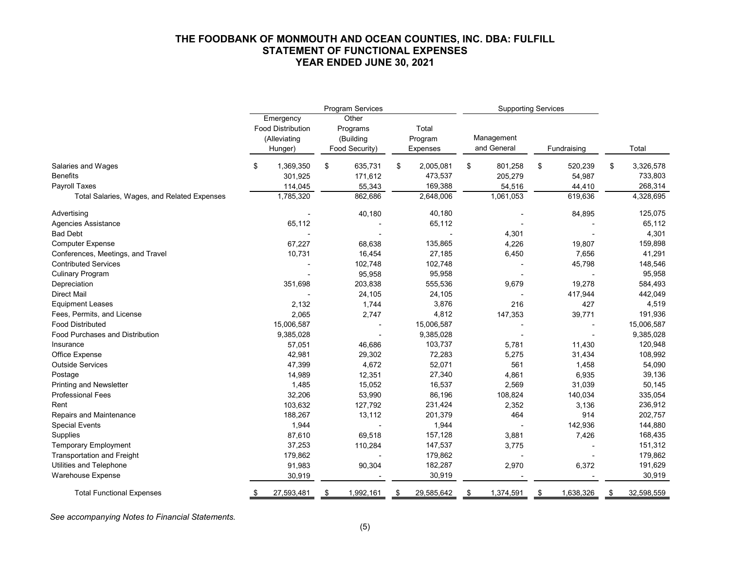#### **THE FOODBANK OF MONMOUTH AND OCEAN COUNTIES, INC. DBA: FULFILL STATEMENT OF FUNCTIONAL EXPENSES YEAR ENDED JUNE 30, 2021**

|                                             |                                                                  | Program Services                                 |                              |     | <b>Supporting Services</b> |     |             |    |            |  |
|---------------------------------------------|------------------------------------------------------------------|--------------------------------------------------|------------------------------|-----|----------------------------|-----|-------------|----|------------|--|
|                                             | Emergency<br><b>Food Distribution</b><br>(Alleviating<br>Hunger) | Other<br>Programs<br>(Building<br>Food Security) | Total<br>Program<br>Expenses |     | Management<br>and General  |     | Fundraising |    | Total      |  |
| Salaries and Wages                          | \$<br>1,369,350                                                  | \$<br>635,731                                    | \$<br>2,005,081              | \$  | 801,258                    | \$  | 520,239     | \$ | 3,326,578  |  |
| <b>Benefits</b>                             | 301,925                                                          | 171,612                                          | 473,537                      |     | 205,279                    |     | 54,987      |    | 733,803    |  |
| Payroll Taxes                               | 114,045                                                          | 55,343                                           | 169,388                      |     | 54,516                     |     | 44,410      |    | 268,314    |  |
| Total Salaries, Wages, and Related Expenses | 1,785,320                                                        | 862,686                                          | 2,648,006                    |     | 1,061,053                  |     | 619,636     |    | 4,328,695  |  |
| Advertising                                 |                                                                  | 40,180                                           | 40,180                       |     |                            |     | 84,895      |    | 125,075    |  |
| <b>Agencies Assistance</b>                  | 65,112                                                           |                                                  | 65,112                       |     |                            |     |             |    | 65,112     |  |
| <b>Bad Debt</b>                             |                                                                  |                                                  |                              |     | 4,301                      |     |             |    | 4,301      |  |
| <b>Computer Expense</b>                     | 67,227                                                           | 68,638                                           | 135,865                      |     | 4,226                      |     | 19,807      |    | 159,898    |  |
| Conferences, Meetings, and Travel           | 10,731                                                           | 16,454                                           | 27,185                       |     | 6,450                      |     | 7,656       |    | 41,291     |  |
| <b>Contributed Services</b>                 |                                                                  | 102,748                                          | 102,748                      |     |                            |     | 45,798      |    | 148,546    |  |
| <b>Culinary Program</b>                     |                                                                  | 95,958                                           | 95,958                       |     |                            |     |             |    | 95,958     |  |
| Depreciation                                | 351,698                                                          | 203,838                                          | 555,536                      |     | 9,679                      |     | 19,278      |    | 584,493    |  |
| <b>Direct Mail</b>                          |                                                                  | 24,105                                           | 24,105                       |     |                            |     | 417,944     |    | 442,049    |  |
| <b>Equipment Leases</b>                     | 2,132                                                            | 1,744                                            | 3,876                        |     | 216                        |     | 427         |    | 4,519      |  |
| Fees, Permits, and License                  | 2,065                                                            | 2,747                                            | 4,812                        |     | 147,353                    |     | 39,771      |    | 191,936    |  |
| <b>Food Distributed</b>                     | 15,006,587                                                       |                                                  | 15,006,587                   |     |                            |     |             |    | 15,006,587 |  |
| <b>Food Purchases and Distribution</b>      | 9,385,028                                                        |                                                  | 9,385,028                    |     |                            |     |             |    | 9,385,028  |  |
| Insurance                                   | 57,051                                                           | 46,686                                           | 103,737                      |     | 5,781                      |     | 11,430      |    | 120,948    |  |
| Office Expense                              | 42,981                                                           | 29,302                                           | 72,283                       |     | 5,275                      |     | 31,434      |    | 108,992    |  |
| <b>Outside Services</b>                     | 47,399                                                           | 4,672                                            | 52,071                       |     | 561                        |     | 1,458       |    | 54,090     |  |
| Postage                                     | 14,989                                                           | 12,351                                           | 27,340                       |     | 4,861                      |     | 6,935       |    | 39,136     |  |
| <b>Printing and Newsletter</b>              | 1,485                                                            | 15,052                                           | 16,537                       |     | 2,569                      |     | 31,039      |    | 50,145     |  |
| <b>Professional Fees</b>                    | 32,206                                                           | 53,990                                           | 86,196                       |     | 108,824                    |     | 140,034     |    | 335,054    |  |
| Rent                                        | 103,632                                                          | 127,792                                          | 231,424                      |     | 2,352                      |     | 3,136       |    | 236,912    |  |
| Repairs and Maintenance                     | 188,267                                                          | 13,112                                           | 201,379                      |     | 464                        |     | 914         |    | 202,757    |  |
| <b>Special Events</b>                       | 1,944                                                            |                                                  | 1,944                        |     |                            |     | 142,936     |    | 144,880    |  |
| Supplies                                    | 87,610                                                           | 69,518                                           | 157,128                      |     | 3,881                      |     | 7,426       |    | 168,435    |  |
| <b>Temporary Employment</b>                 | 37,253                                                           | 110,284                                          | 147,537                      |     | 3,775                      |     |             |    | 151,312    |  |
| <b>Transportation and Freight</b>           | 179,862                                                          |                                                  | 179,862                      |     |                            |     |             |    | 179,862    |  |
| Utilities and Telephone                     | 91,983                                                           | 90,304                                           | 182,287                      |     | 2,970                      |     | 6,372       |    | 191,629    |  |
| Warehouse Expense                           | 30,919                                                           |                                                  | 30,919                       |     |                            |     |             |    | 30,919     |  |
| <b>Total Functional Expenses</b>            | \$<br>27,593,481                                                 | \$<br>1,992,161                                  | \$<br>29,585,642             | -\$ | 1,374,591                  | -\$ | 1,638,326   | \$ | 32,598,559 |  |

*See accompanying Notes to Financial Statements.*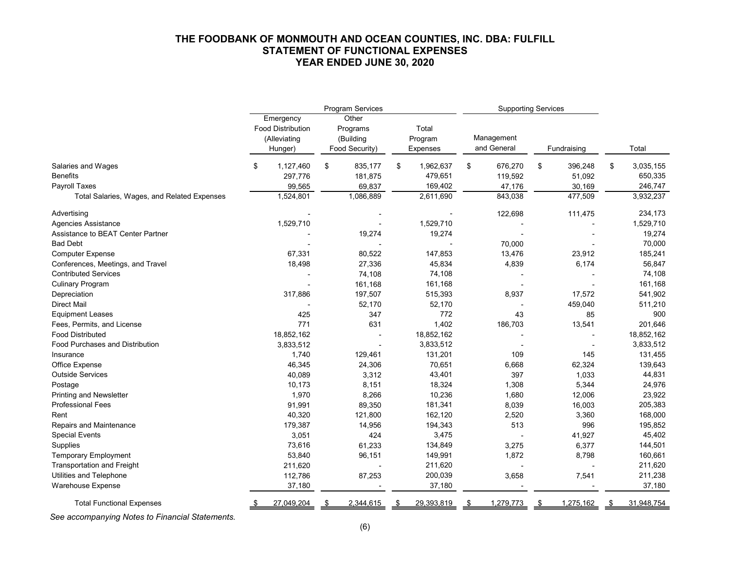#### **THE FOODBANK OF MONMOUTH AND OCEAN COUNTIES, INC. DBA: FULFILL STATEMENT OF FUNCTIONAL EXPENSES YEAR ENDED JUNE 30, 2020**

|                                             |                          | Program Services |                 |    | <b>Supporting Services</b> |               |                 |
|---------------------------------------------|--------------------------|------------------|-----------------|----|----------------------------|---------------|-----------------|
|                                             | Emergency                | Other            |                 |    |                            |               |                 |
|                                             | <b>Food Distribution</b> | Programs         | Total           |    |                            |               |                 |
|                                             | (Alleviating             | (Building        | Program         |    | Management                 |               |                 |
|                                             | Hunger)                  | Food Security)   | <b>Expenses</b> |    | and General                | Fundraising   | Total           |
| Salaries and Wages                          | \$<br>1,127,460          | \$<br>835,177    | \$<br>1,962,637 | \$ | 676,270                    | \$<br>396,248 | \$<br>3,035,155 |
| <b>Benefits</b>                             | 297,776                  | 181,875          | 479,651         |    | 119,592                    | 51,092        | 650,335         |
| Payroll Taxes                               | 99,565                   | 69,837           | 169,402         |    | 47,176                     | 30,169        | 246,747         |
| Total Salaries, Wages, and Related Expenses | 1,524,801                | 1,086,889        | 2,611,690       |    | 843,038                    | 477,509       | 3,932,237       |
| Advertising                                 |                          |                  |                 |    | 122,698                    | 111,475       | 234,173         |
| <b>Agencies Assistance</b>                  | 1,529,710                |                  | 1,529,710       |    |                            |               | 1,529,710       |
| Assistance to BEAT Center Partner           |                          | 19,274           | 19,274          |    |                            |               | 19,274          |
| <b>Bad Debt</b>                             |                          |                  |                 |    | 70,000                     |               | 70,000          |
| <b>Computer Expense</b>                     | 67,331                   | 80,522           | 147,853         |    | 13,476                     | 23,912        | 185,241         |
| Conferences, Meetings, and Travel           | 18,498                   | 27,336           | 45,834          |    | 4,839                      | 6,174         | 56,847          |
| <b>Contributed Services</b>                 |                          | 74,108           | 74,108          |    |                            |               | 74,108          |
| <b>Culinary Program</b>                     |                          | 161,168          | 161,168         |    |                            |               | 161,168         |
| Depreciation                                | 317,886                  | 197,507          | 515,393         |    | 8,937                      | 17,572        | 541,902         |
| <b>Direct Mail</b>                          |                          | 52,170           | 52,170          |    |                            | 459,040       | 511,210         |
| <b>Equipment Leases</b>                     | 425                      | 347              | 772             |    | 43                         | 85            | 900             |
| Fees, Permits, and License                  | 771                      | 631              | 1,402           |    | 186,703                    | 13,541        | 201,646         |
| <b>Food Distributed</b>                     | 18,852,162               |                  | 18,852,162      |    |                            |               | 18,852,162      |
| <b>Food Purchases and Distribution</b>      | 3,833,512                |                  | 3,833,512       |    |                            |               | 3,833,512       |
| Insurance                                   | 1,740                    | 129,461          | 131,201         |    | 109                        | 145           | 131,455         |
| Office Expense                              | 46,345                   | 24,306           | 70,651          |    | 6,668                      | 62,324        | 139,643         |
| <b>Outside Services</b>                     | 40,089                   | 3,312            | 43,401          |    | 397                        | 1,033         | 44,831          |
| Postage                                     | 10,173                   | 8,151            | 18,324          |    | 1,308                      | 5,344         | 24,976          |
| <b>Printing and Newsletter</b>              | 1,970                    | 8,266            | 10,236          |    | 1,680                      | 12,006        | 23,922          |
| <b>Professional Fees</b>                    | 91,991                   | 89,350           | 181,341         |    | 8,039                      | 16,003        | 205,383         |
| Rent                                        | 40,320                   | 121,800          | 162,120         |    | 2,520                      | 3,360         | 168,000         |
| Repairs and Maintenance                     | 179,387                  | 14,956           | 194,343         |    | 513                        | 996           | 195,852         |
| <b>Special Events</b>                       | 3,051                    | 424              | 3,475           |    |                            | 41,927        | 45,402          |
| Supplies                                    | 73,616                   | 61,233           | 134,849         |    | 3,275                      | 6,377         | 144,501         |
| <b>Temporary Employment</b>                 | 53,840                   | 96,151           | 149,991         |    | 1,872                      | 8,798         | 160,661         |
| <b>Transportation and Freight</b>           | 211,620                  |                  | 211,620         |    |                            |               | 211,620         |
| Utilities and Telephone                     | 112,786                  | 87,253           | 200,039         |    | 3,658                      | 7,541         | 211,238         |
| Warehouse Expense                           | 37,180                   |                  | 37,180          |    |                            |               | 37,180          |
| <b>Total Functional Expenses</b>            | 27,049,204               | 2,344,615        | 29,393,819      | S  | 1,279,773                  | 1,275,162     | 31,948,754      |

*See accompanying Notes to Financial Statements.*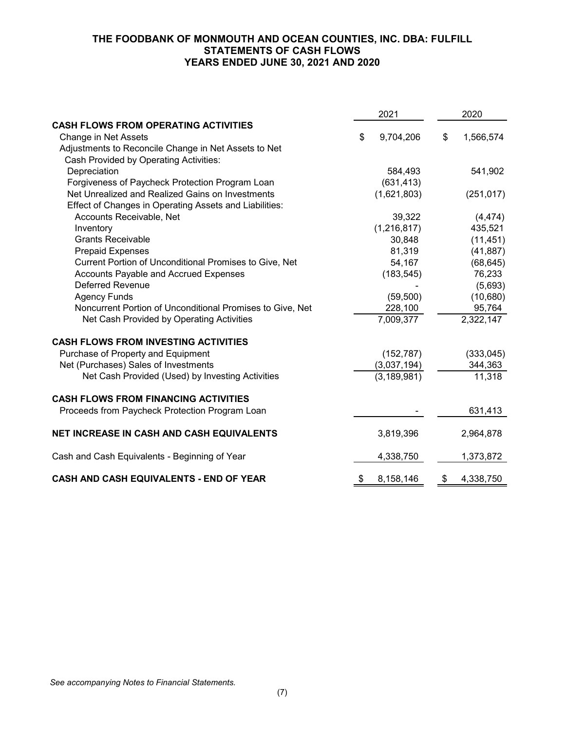## **THE FOODBANK OF MONMOUTH AND OCEAN COUNTIES, INC. DBA: FULFILL STATEMENTS OF CASH FLOWS YEARS ENDED JUNE 30, 2021 AND 2020**

|                                                           |    | 2021          | 2020                   |  |  |
|-----------------------------------------------------------|----|---------------|------------------------|--|--|
| <b>CASH FLOWS FROM OPERATING ACTIVITIES</b>               |    |               |                        |  |  |
| Change in Net Assets                                      | \$ | 9,704,206     | \$<br>1,566,574        |  |  |
| Adjustments to Reconcile Change in Net Assets to Net      |    |               |                        |  |  |
| Cash Provided by Operating Activities:                    |    |               |                        |  |  |
| Depreciation                                              |    | 584,493       | 541,902                |  |  |
| Forgiveness of Paycheck Protection Program Loan           |    | (631, 413)    |                        |  |  |
| Net Unrealized and Realized Gains on Investments          |    | (1,621,803)   | (251, 017)             |  |  |
| Effect of Changes in Operating Assets and Liabilities:    |    |               |                        |  |  |
| Accounts Receivable, Net                                  |    | 39,322        | (4, 474)               |  |  |
| Inventory                                                 |    | (1, 216, 817) | 435,521                |  |  |
| <b>Grants Receivable</b>                                  |    | 30,848        | (11, 451)              |  |  |
| <b>Prepaid Expenses</b>                                   |    | 81,319        | (41, 887)              |  |  |
| Current Portion of Unconditional Promises to Give, Net    |    | 54,167        | (68, 645)              |  |  |
| Accounts Payable and Accrued Expenses                     |    | (183, 545)    | 76,233                 |  |  |
| <b>Deferred Revenue</b>                                   |    |               | (5,693)                |  |  |
| <b>Agency Funds</b>                                       |    | (59, 500)     | (10,680)               |  |  |
| Noncurrent Portion of Unconditional Promises to Give, Net |    | 228,100       | 95,764                 |  |  |
| Net Cash Provided by Operating Activities                 |    | 7,009,377     | $\overline{2,}322,147$ |  |  |
| <b>CASH FLOWS FROM INVESTING ACTIVITIES</b>               |    |               |                        |  |  |
| Purchase of Property and Equipment                        |    | (152, 787)    | (333,045)              |  |  |
| Net (Purchases) Sales of Investments                      |    | (3,037,194)   | 344,363                |  |  |
| Net Cash Provided (Used) by Investing Activities          |    | (3, 189, 981) | 11,318                 |  |  |
| <b>CASH FLOWS FROM FINANCING ACTIVITIES</b>               |    |               |                        |  |  |
| Proceeds from Paycheck Protection Program Loan            |    |               | 631,413                |  |  |
| NET INCREASE IN CASH AND CASH EQUIVALENTS                 |    | 3,819,396     | 2,964,878              |  |  |
| Cash and Cash Equivalents - Beginning of Year             |    | 4,338,750     | 1,373,872              |  |  |
| CASH AND CASH EQUIVALENTS - END OF YEAR                   | \$ | 8,158,146     | \$<br>4,338,750        |  |  |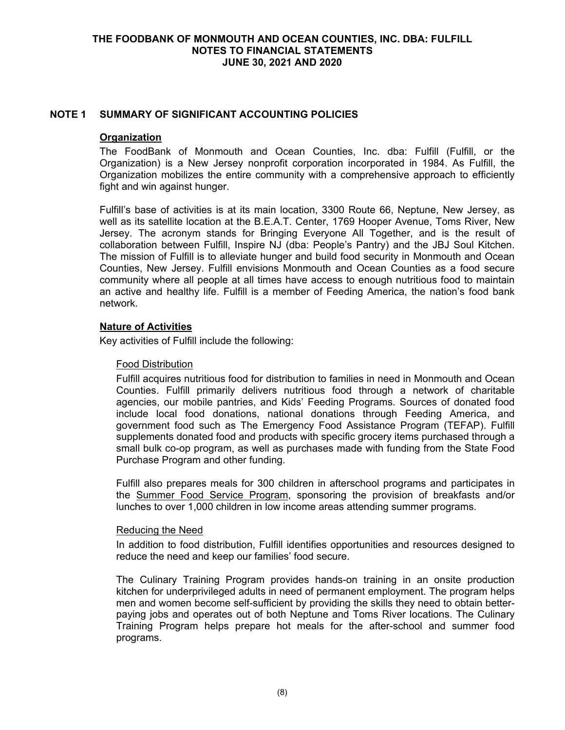### **THE FOODBANK OF MONMOUTH AND OCEAN COUNTIES, INC. DBA: FULFILL NOTES TO FINANCIAL STATEMENTS JUNE 30, 2021 AND 2020**

### **NOTE 1 SUMMARY OF SIGNIFICANT ACCOUNTING POLICIES**

#### **Organization**

The FoodBank of Monmouth and Ocean Counties, Inc. dba: Fulfill (Fulfill, or the Organization) is a New Jersey nonprofit corporation incorporated in 1984. As Fulfill, the Organization mobilizes the entire community with a comprehensive approach to efficiently fight and win against hunger.

Fulfill's base of activities is at its main location, 3300 Route 66, Neptune, New Jersey, as well as its satellite location at the B.E.A.T. Center, 1769 Hooper Avenue, Toms River, New Jersey. The acronym stands for Bringing Everyone All Together, and is the result of collaboration between Fulfill, Inspire NJ (dba: People's Pantry) and the JBJ Soul Kitchen. The mission of Fulfill is to alleviate hunger and build food security in Monmouth and Ocean Counties, New Jersey. Fulfill envisions Monmouth and Ocean Counties as a food secure community where all people at all times have access to enough nutritious food to maintain an active and healthy life. Fulfill is a member of Feeding America, the nation's food bank network.

#### **Nature of Activities**

Key activities of Fulfill include the following:

#### Food Distribution

Fulfill acquires nutritious food for distribution to families in need in Monmouth and Ocean Counties. Fulfill primarily delivers nutritious food through a network of charitable agencies, our mobile pantries, and Kids' Feeding Programs. Sources of donated food include local food donations, national donations through Feeding America, and government food such as The Emergency Food Assistance Program (TEFAP). Fulfill supplements donated food and products with specific grocery items purchased through a small bulk co-op program, as well as purchases made with funding from the State Food Purchase Program and other funding.

Fulfill also prepares meals for 300 children in afterschool programs and participates in the Summer Food Service Program, sponsoring the provision of breakfasts and/or lunches to over 1,000 children in low income areas attending summer programs.

#### Reducing the Need

In addition to food distribution, Fulfill identifies opportunities and resources designed to reduce the need and keep our families' food secure.

The Culinary Training Program provides hands-on training in an onsite production kitchen for underprivileged adults in need of permanent employment. The program helps men and women become self-sufficient by providing the skills they need to obtain betterpaying jobs and operates out of both Neptune and Toms River locations. The Culinary Training Program helps prepare hot meals for the after-school and summer food programs.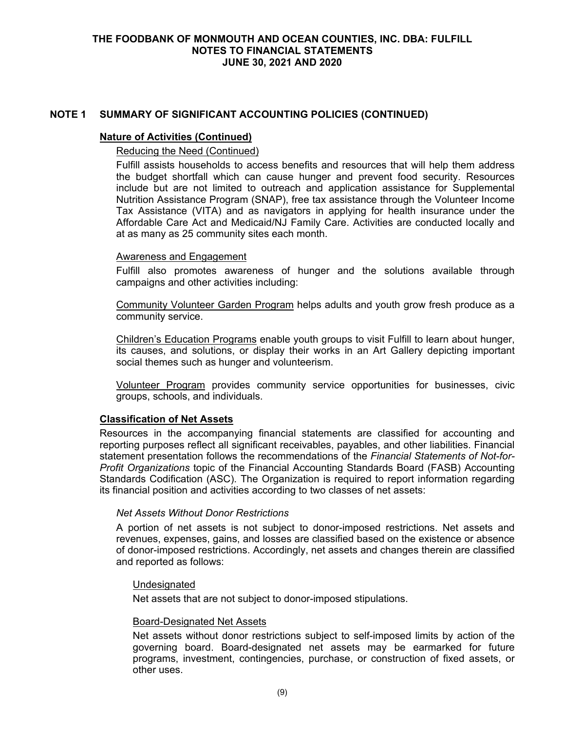#### **Nature of Activities (Continued)**

### Reducing the Need (Continued)

Fulfill assists households to access benefits and resources that will help them address the budget shortfall which can cause hunger and prevent food security. Resources include but are not limited to outreach and application assistance for Supplemental Nutrition Assistance Program (SNAP), free tax assistance through the Volunteer Income Tax Assistance (VITA) and as navigators in applying for health insurance under the Affordable Care Act and Medicaid/NJ Family Care. Activities are conducted locally and at as many as 25 community sites each month.

#### Awareness and Engagement

Fulfill also promotes awareness of hunger and the solutions available through campaigns and other activities including:

Community Volunteer Garden Program helps adults and youth grow fresh produce as a community service.

Children's Education Programs enable youth groups to visit Fulfill to learn about hunger, its causes, and solutions, or display their works in an Art Gallery depicting important social themes such as hunger and volunteerism.

Volunteer Program provides community service opportunities for businesses, civic groups, schools, and individuals.

#### **Classification of Net Assets**

Resources in the accompanying financial statements are classified for accounting and reporting purposes reflect all significant receivables, payables, and other liabilities. Financial statement presentation follows the recommendations of the *Financial Statements of Not-for-Profit Organizations* topic of the Financial Accounting Standards Board (FASB) Accounting Standards Codification (ASC). The Organization is required to report information regarding its financial position and activities according to two classes of net assets:

#### *Net Assets Without Donor Restrictions*

A portion of net assets is not subject to donor-imposed restrictions. Net assets and revenues, expenses, gains, and losses are classified based on the existence or absence of donor-imposed restrictions. Accordingly, net assets and changes therein are classified and reported as follows:

#### Undesignated

Net assets that are not subject to donor-imposed stipulations.

#### Board-Designated Net Assets

Net assets without donor restrictions subject to self-imposed limits by action of the governing board. Board-designated net assets may be earmarked for future programs, investment, contingencies, purchase, or construction of fixed assets, or other uses.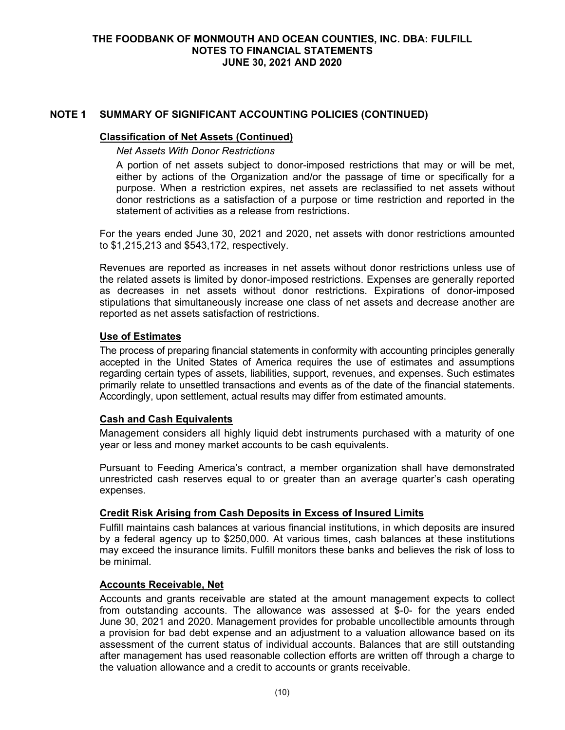### **Classification of Net Assets (Continued)**

#### *Net Assets With Donor Restrictions*

A portion of net assets subject to donor-imposed restrictions that may or will be met, either by actions of the Organization and/or the passage of time or specifically for a purpose. When a restriction expires, net assets are reclassified to net assets without donor restrictions as a satisfaction of a purpose or time restriction and reported in the statement of activities as a release from restrictions.

For the years ended June 30, 2021 and 2020, net assets with donor restrictions amounted to \$1,215,213 and \$543,172, respectively.

Revenues are reported as increases in net assets without donor restrictions unless use of the related assets is limited by donor-imposed restrictions. Expenses are generally reported as decreases in net assets without donor restrictions. Expirations of donor-imposed stipulations that simultaneously increase one class of net assets and decrease another are reported as net assets satisfaction of restrictions.

### **Use of Estimates**

The process of preparing financial statements in conformity with accounting principles generally accepted in the United States of America requires the use of estimates and assumptions regarding certain types of assets, liabilities, support, revenues, and expenses. Such estimates primarily relate to unsettled transactions and events as of the date of the financial statements. Accordingly, upon settlement, actual results may differ from estimated amounts.

## **Cash and Cash Equivalents**

Management considers all highly liquid debt instruments purchased with a maturity of one year or less and money market accounts to be cash equivalents.

Pursuant to Feeding America's contract, a member organization shall have demonstrated unrestricted cash reserves equal to or greater than an average quarter's cash operating expenses.

## **Credit Risk Arising from Cash Deposits in Excess of Insured Limits**

Fulfill maintains cash balances at various financial institutions, in which deposits are insured by a federal agency up to \$250,000. At various times, cash balances at these institutions may exceed the insurance limits. Fulfill monitors these banks and believes the risk of loss to be minimal.

## **Accounts Receivable, Net**

Accounts and grants receivable are stated at the amount management expects to collect from outstanding accounts. The allowance was assessed at \$-0- for the years ended June 30, 2021 and 2020. Management provides for probable uncollectible amounts through a provision for bad debt expense and an adjustment to a valuation allowance based on its assessment of the current status of individual accounts. Balances that are still outstanding after management has used reasonable collection efforts are written off through a charge to the valuation allowance and a credit to accounts or grants receivable.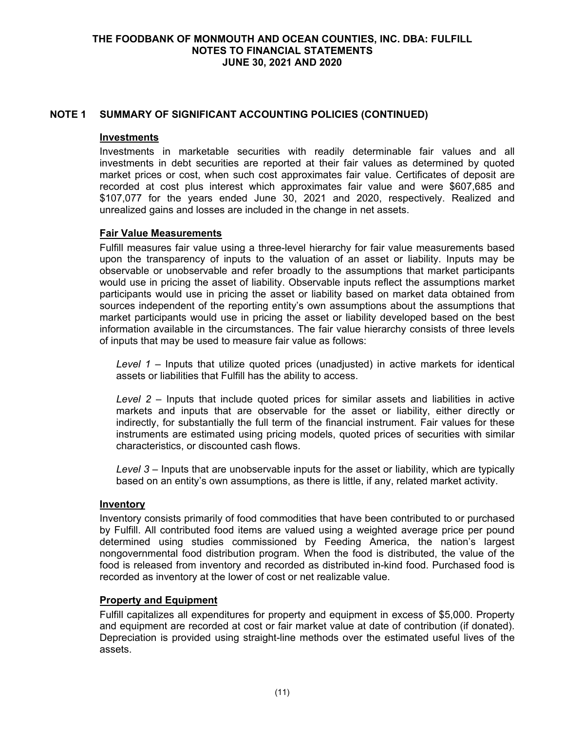### **Investments**

Investments in marketable securities with readily determinable fair values and all investments in debt securities are reported at their fair values as determined by quoted market prices or cost, when such cost approximates fair value. Certificates of deposit are recorded at cost plus interest which approximates fair value and were \$607,685 and \$107,077 for the years ended June 30, 2021 and 2020, respectively. Realized and unrealized gains and losses are included in the change in net assets.

## **Fair Value Measurements**

Fulfill measures fair value using a three-level hierarchy for fair value measurements based upon the transparency of inputs to the valuation of an asset or liability. Inputs may be observable or unobservable and refer broadly to the assumptions that market participants would use in pricing the asset of liability. Observable inputs reflect the assumptions market participants would use in pricing the asset or liability based on market data obtained from sources independent of the reporting entity's own assumptions about the assumptions that market participants would use in pricing the asset or liability developed based on the best information available in the circumstances. The fair value hierarchy consists of three levels of inputs that may be used to measure fair value as follows:

*Level 1* – Inputs that utilize quoted prices (unadjusted) in active markets for identical assets or liabilities that Fulfill has the ability to access.

*Level 2* – Inputs that include quoted prices for similar assets and liabilities in active markets and inputs that are observable for the asset or liability, either directly or indirectly, for substantially the full term of the financial instrument. Fair values for these instruments are estimated using pricing models, quoted prices of securities with similar characteristics, or discounted cash flows.

*Level 3* – Inputs that are unobservable inputs for the asset or liability, which are typically based on an entity's own assumptions, as there is little, if any, related market activity.

## **Inventory**

Inventory consists primarily of food commodities that have been contributed to or purchased by Fulfill. All contributed food items are valued using a weighted average price per pound determined using studies commissioned by Feeding America, the nation's largest nongovernmental food distribution program. When the food is distributed, the value of the food is released from inventory and recorded as distributed in-kind food. Purchased food is recorded as inventory at the lower of cost or net realizable value.

## **Property and Equipment**

Fulfill capitalizes all expenditures for property and equipment in excess of \$5,000. Property and equipment are recorded at cost or fair market value at date of contribution (if donated). Depreciation is provided using straight-line methods over the estimated useful lives of the assets.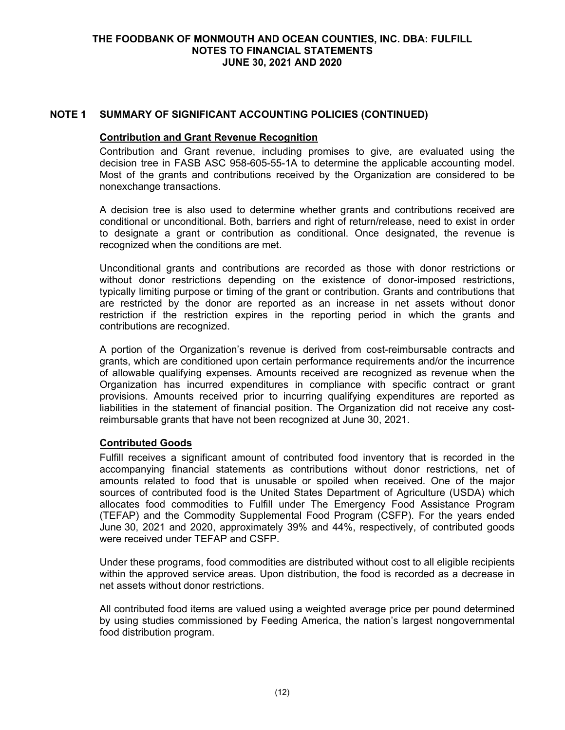### **THE FOODBANK OF MONMOUTH AND OCEAN COUNTIES, INC. DBA: FULFILL NOTES TO FINANCIAL STATEMENTS JUNE 30, 2021 AND 2020**

### **NOTE 1 SUMMARY OF SIGNIFICANT ACCOUNTING POLICIES (CONTINUED)**

#### **Contribution and Grant Revenue Recognition**

Contribution and Grant revenue, including promises to give, are evaluated using the decision tree in FASB ASC 958-605-55-1A to determine the applicable accounting model. Most of the grants and contributions received by the Organization are considered to be nonexchange transactions.

A decision tree is also used to determine whether grants and contributions received are conditional or unconditional. Both, barriers and right of return/release, need to exist in order to designate a grant or contribution as conditional. Once designated, the revenue is recognized when the conditions are met.

Unconditional grants and contributions are recorded as those with donor restrictions or without donor restrictions depending on the existence of donor-imposed restrictions, typically limiting purpose or timing of the grant or contribution. Grants and contributions that are restricted by the donor are reported as an increase in net assets without donor restriction if the restriction expires in the reporting period in which the grants and contributions are recognized.

A portion of the Organization's revenue is derived from cost-reimbursable contracts and grants, which are conditioned upon certain performance requirements and/or the incurrence of allowable qualifying expenses. Amounts received are recognized as revenue when the Organization has incurred expenditures in compliance with specific contract or grant provisions. Amounts received prior to incurring qualifying expenditures are reported as liabilities in the statement of financial position. The Organization did not receive any costreimbursable grants that have not been recognized at June 30, 2021.

#### **Contributed Goods**

Fulfill receives a significant amount of contributed food inventory that is recorded in the accompanying financial statements as contributions without donor restrictions, net of amounts related to food that is unusable or spoiled when received. One of the major sources of contributed food is the United States Department of Agriculture (USDA) which allocates food commodities to Fulfill under The Emergency Food Assistance Program (TEFAP) and the Commodity Supplemental Food Program (CSFP). For the years ended June 30, 2021 and 2020, approximately 39% and 44%, respectively, of contributed goods were received under TEFAP and CSFP.

Under these programs, food commodities are distributed without cost to all eligible recipients within the approved service areas. Upon distribution, the food is recorded as a decrease in net assets without donor restrictions.

All contributed food items are valued using a weighted average price per pound determined by using studies commissioned by Feeding America, the nation's largest nongovernmental food distribution program.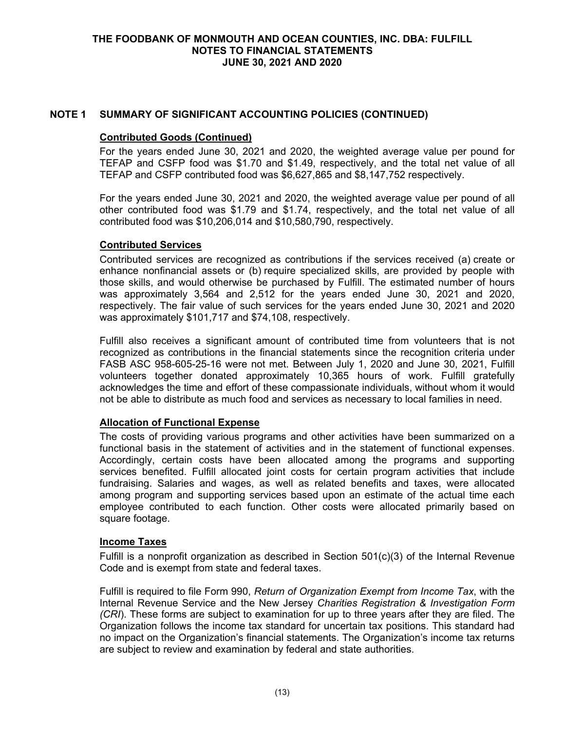### **Contributed Goods (Continued)**

For the years ended June 30, 2021 and 2020, the weighted average value per pound for TEFAP and CSFP food was \$1.70 and \$1.49, respectively, and the total net value of all TEFAP and CSFP contributed food was \$6,627,865 and \$8,147,752 respectively.

For the years ended June 30, 2021 and 2020, the weighted average value per pound of all other contributed food was \$1.79 and \$1.74, respectively, and the total net value of all contributed food was \$10,206,014 and \$10,580,790, respectively.

### **Contributed Services**

Contributed services are recognized as contributions if the services received (a) create or enhance nonfinancial assets or (b) require specialized skills, are provided by people with those skills, and would otherwise be purchased by Fulfill. The estimated number of hours was approximately 3,564 and 2,512 for the years ended June 30, 2021 and 2020, respectively. The fair value of such services for the years ended June 30, 2021 and 2020 was approximately \$101,717 and \$74,108, respectively.

Fulfill also receives a significant amount of contributed time from volunteers that is not recognized as contributions in the financial statements since the recognition criteria under FASB ASC 958-605-25-16 were not met. Between July 1, 2020 and June 30, 2021, Fulfill volunteers together donated approximately 10,365 hours of work. Fulfill gratefully acknowledges the time and effort of these compassionate individuals, without whom it would not be able to distribute as much food and services as necessary to local families in need.

# **Allocation of Functional Expense**

The costs of providing various programs and other activities have been summarized on a functional basis in the statement of activities and in the statement of functional expenses. Accordingly, certain costs have been allocated among the programs and supporting services benefited. Fulfill allocated joint costs for certain program activities that include fundraising. Salaries and wages, as well as related benefits and taxes, were allocated among program and supporting services based upon an estimate of the actual time each employee contributed to each function. Other costs were allocated primarily based on square footage.

#### **Income Taxes**

Fulfill is a nonprofit organization as described in Section 501(c)(3) of the Internal Revenue Code and is exempt from state and federal taxes.

Fulfill is required to file Form 990, *Return of Organization Exempt from Income Tax*, with the Internal Revenue Service and the New Jersey *Charities Registration & Investigation Form (CRI*). These forms are subject to examination for up to three years after they are filed. The Organization follows the income tax standard for uncertain tax positions. This standard had no impact on the Organization's financial statements. The Organization's income tax returns are subject to review and examination by federal and state authorities.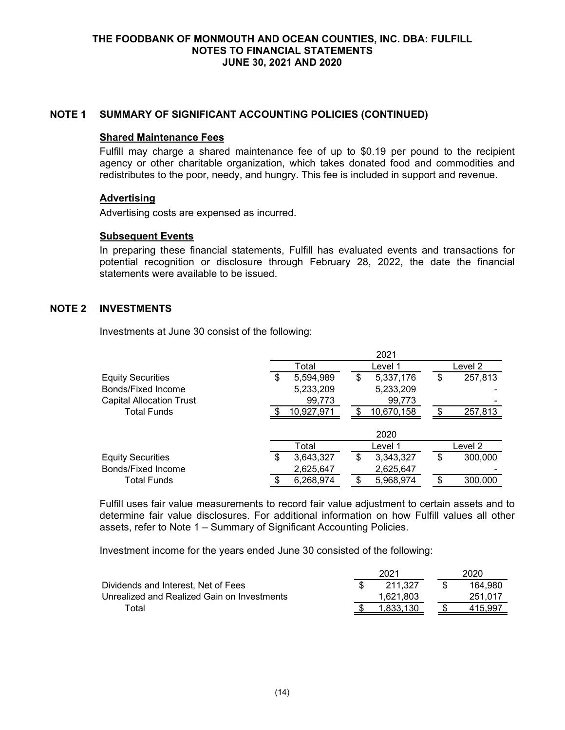#### **Shared Maintenance Fees**

Fulfill may charge a shared maintenance fee of up to \$0.19 per pound to the recipient agency or other charitable organization, which takes donated food and commodities and redistributes to the poor, needy, and hungry. This fee is included in support and revenue.

#### **Advertising**

Advertising costs are expensed as incurred.

### **Subsequent Events**

In preparing these financial statements, Fulfill has evaluated events and transactions for potential recognition or disclosure through February 28, 2022, the date the financial statements were available to be issued.

## **NOTE 2 INVESTMENTS**

Investments at June 30 consist of the following:

|                                 |                 | 2021            |               |
|---------------------------------|-----------------|-----------------|---------------|
|                                 | Total           | Level 1         | Level 2       |
| <b>Equity Securities</b>        | \$<br>5,594,989 | \$<br>5,337,176 | \$<br>257,813 |
| Bonds/Fixed Income              | 5,233,209       | 5,233,209       |               |
| <b>Capital Allocation Trust</b> | 99,773          | 99,773          |               |
| <b>Total Funds</b>              | 10,927,971      | 10,670,158      | 257,813       |
|                                 |                 | 2020            |               |
|                                 | Total           | Level 1         | Level 2       |
| <b>Equity Securities</b>        | \$<br>3,643,327 | \$<br>3,343,327 | \$<br>300,000 |
| <b>Bonds/Fixed Income</b>       | 2,625,647       | 2,625,647       |               |
| <b>Total Funds</b>              | 6,268,974       | 5,968,974       | 300,000       |

Fulfill uses fair value measurements to record fair value adjustment to certain assets and to determine fair value disclosures. For additional information on how Fulfill values all other assets, refer to Note 1 – Summary of Significant Accounting Policies.

Investment income for the years ended June 30 consisted of the following:

|                                             | 2021      | 2020.   |
|---------------------------------------------|-----------|---------|
| Dividends and Interest. Net of Fees         | 211.327   | 164.980 |
| Unrealized and Realized Gain on Investments | 1,621,803 | 251.017 |
| ™otal                                       | 1.833.130 | 415.997 |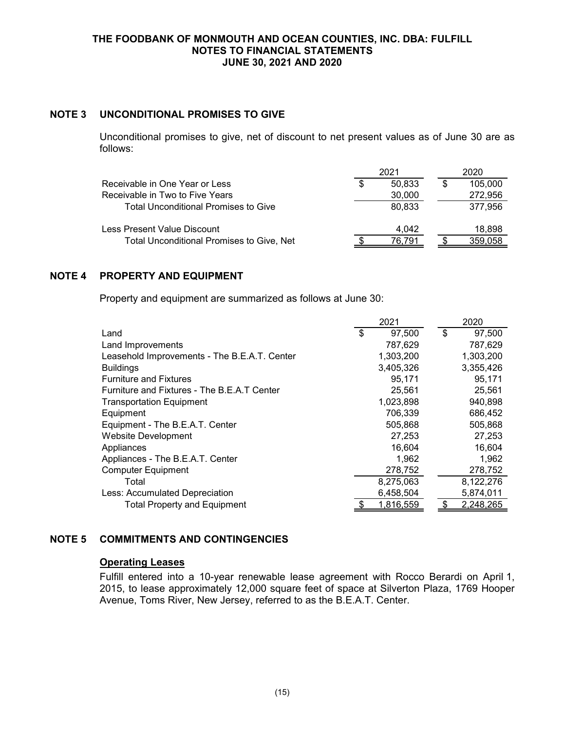#### **THE FOODBANK OF MONMOUTH AND OCEAN COUNTIES, INC. DBA: FULFILL NOTES TO FINANCIAL STATEMENTS JUNE 30, 2021 AND 2020**

### **NOTE 3 UNCONDITIONAL PROMISES TO GIVE**

Unconditional promises to give, net of discount to net present values as of June 30 are as follows:

|                                             |   | 202.   | 2020    |
|---------------------------------------------|---|--------|---------|
| Receivable in One Year or Less              | S | 50.833 | 105,000 |
| Receivable in Two to Five Years             |   | 30,000 | 272,956 |
| <b>Total Unconditional Promises to Give</b> |   | 80.833 | 377.956 |
| Less Present Value Discount                 |   | 4.042  | 18.898  |
| Total Unconditional Promises to Give, Net   |   | 76.791 | 359,058 |

## **NOTE 4 PROPERTY AND EQUIPMENT**

Property and equipment are summarized as follows at June 30:

|                                              | 2021 |           |    | 2020      |
|----------------------------------------------|------|-----------|----|-----------|
| Land                                         | \$   | 97,500    | \$ | 97,500    |
| Land Improvements                            |      | 787,629   |    | 787,629   |
| Leasehold Improvements - The B.E.A.T. Center |      | 1,303,200 |    | 1,303,200 |
| <b>Buildings</b>                             |      | 3,405,326 |    | 3,355,426 |
| <b>Furniture and Fixtures</b>                |      | 95,171    |    | 95,171    |
| Furniture and Fixtures - The B.E.A.T Center  |      | 25,561    |    | 25,561    |
| <b>Transportation Equipment</b>              |      | 1,023,898 |    | 940,898   |
| Equipment                                    |      | 706,339   |    | 686,452   |
| Equipment - The B.E.A.T. Center              |      | 505,868   |    | 505,868   |
| <b>Website Development</b>                   |      | 27,253    |    | 27,253    |
| Appliances                                   |      | 16,604    |    | 16,604    |
| Appliances - The B.E.A.T. Center             |      | 1,962     |    | 1,962     |
| <b>Computer Equipment</b>                    |      | 278,752   |    | 278,752   |
| Total                                        |      | 8,275,063 |    | 8,122,276 |
| Less: Accumulated Depreciation               |      | 6,458,504 |    | 5,874,011 |
| <b>Total Property and Equipment</b>          |      | 1,816,559 |    | 2,248,265 |

## **NOTE 5 COMMITMENTS AND CONTINGENCIES**

### **Operating Leases**

Fulfill entered into a 10-year renewable lease agreement with Rocco Berardi on April 1, 2015, to lease approximately 12,000 square feet of space at Silverton Plaza, 1769 Hooper Avenue, Toms River, New Jersey, referred to as the B.E.A.T. Center.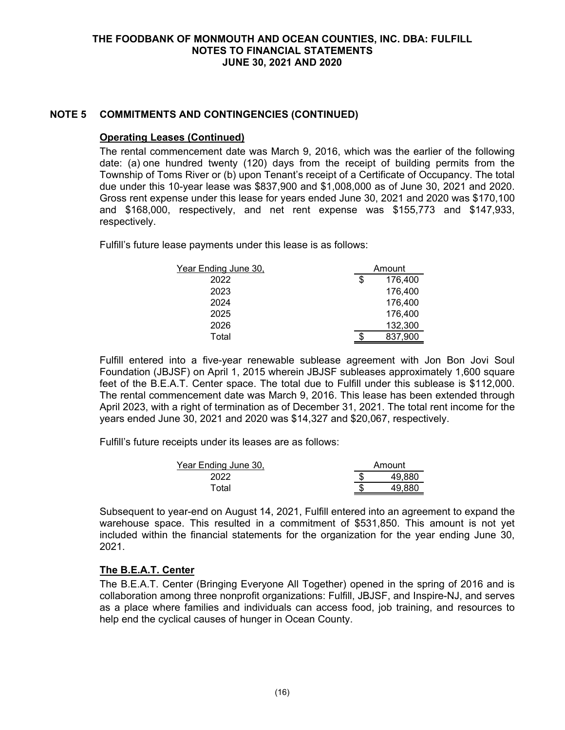# **NOTE 5 COMMITMENTS AND CONTINGENCIES (CONTINUED)**

### **Operating Leases (Continued)**

The rental commencement date was March 9, 2016, which was the earlier of the following date: (a) one hundred twenty (120) days from the receipt of building permits from the Township of Toms River or (b) upon Tenant's receipt of a Certificate of Occupancy. The total due under this 10-year lease was \$837,900 and \$1,008,000 as of June 30, 2021 and 2020. Gross rent expense under this lease for years ended June 30, 2021 and 2020 was \$170,100 and \$168,000, respectively, and net rent expense was \$155,773 and \$147,933, respectively.

Fulfill's future lease payments under this lease is as follows:

| Year Ending June 30, | Amount        |         |  |  |
|----------------------|---------------|---------|--|--|
| 2022                 | \$<br>176,400 |         |  |  |
| 2023                 |               | 176,400 |  |  |
| 2024                 |               | 176,400 |  |  |
| 2025                 |               | 176,400 |  |  |
| 2026                 |               | 132,300 |  |  |
| Total                |               | 837,900 |  |  |

Fulfill entered into a five-year renewable sublease agreement with Jon Bon Jovi Soul Foundation (JBJSF) on April 1, 2015 wherein JBJSF subleases approximately 1,600 square feet of the B.E.A.T. Center space. The total due to Fulfill under this sublease is \$112,000. The rental commencement date was March 9, 2016. This lease has been extended through April 2023, with a right of termination as of December 31, 2021. The total rent income for the years ended June 30, 2021 and 2020 was \$14,327 and \$20,067, respectively.

Fulfill's future receipts under its leases are as follows:

| Year Ending June 30, | Amount |        |  |
|----------------------|--------|--------|--|
| 2022                 |        | 49.880 |  |
| Total                |        | 49.880 |  |

Subsequent to year-end on August 14, 2021, Fulfill entered into an agreement to expand the warehouse space. This resulted in a commitment of \$531,850. This amount is not yet included within the financial statements for the organization for the year ending June 30, 2021.

## **The B.E.A.T. Center**

The B.E.A.T. Center (Bringing Everyone All Together) opened in the spring of 2016 and is collaboration among three nonprofit organizations: Fulfill, JBJSF, and Inspire-NJ, and serves as a place where families and individuals can access food, job training, and resources to help end the cyclical causes of hunger in Ocean County.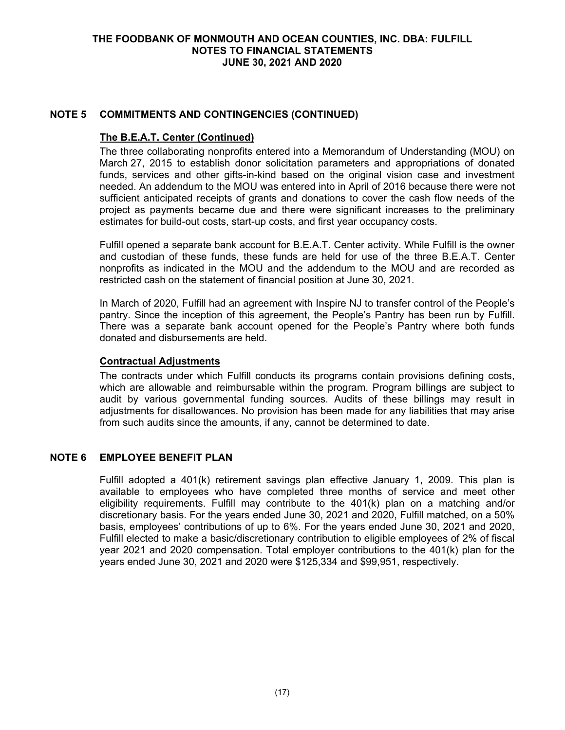### **THE FOODBANK OF MONMOUTH AND OCEAN COUNTIES, INC. DBA: FULFILL NOTES TO FINANCIAL STATEMENTS JUNE 30, 2021 AND 2020**

### **NOTE 5 COMMITMENTS AND CONTINGENCIES (CONTINUED)**

#### **The B.E.A.T. Center (Continued)**

The three collaborating nonprofits entered into a Memorandum of Understanding (MOU) on March 27, 2015 to establish donor solicitation parameters and appropriations of donated funds, services and other gifts-in-kind based on the original vision case and investment needed. An addendum to the MOU was entered into in April of 2016 because there were not sufficient anticipated receipts of grants and donations to cover the cash flow needs of the project as payments became due and there were significant increases to the preliminary estimates for build-out costs, start-up costs, and first year occupancy costs.

Fulfill opened a separate bank account for B.E.A.T. Center activity. While Fulfill is the owner and custodian of these funds, these funds are held for use of the three B.E.A.T. Center nonprofits as indicated in the MOU and the addendum to the MOU and are recorded as restricted cash on the statement of financial position at June 30, 2021.

In March of 2020, Fulfill had an agreement with Inspire NJ to transfer control of the People's pantry. Since the inception of this agreement, the People's Pantry has been run by Fulfill. There was a separate bank account opened for the People's Pantry where both funds donated and disbursements are held.

### **Contractual Adjustments**

The contracts under which Fulfill conducts its programs contain provisions defining costs, which are allowable and reimbursable within the program. Program billings are subject to audit by various governmental funding sources. Audits of these billings may result in adjustments for disallowances. No provision has been made for any liabilities that may arise from such audits since the amounts, if any, cannot be determined to date.

# **NOTE 6 EMPLOYEE BENEFIT PLAN**

Fulfill adopted a 401(k) retirement savings plan effective January 1, 2009. This plan is available to employees who have completed three months of service and meet other eligibility requirements. Fulfill may contribute to the 401(k) plan on a matching and/or discretionary basis. For the years ended June 30, 2021 and 2020, Fulfill matched, on a 50% basis, employees' contributions of up to 6%. For the years ended June 30, 2021 and 2020, Fulfill elected to make a basic/discretionary contribution to eligible employees of 2% of fiscal year 2021 and 2020 compensation. Total employer contributions to the 401(k) plan for the years ended June 30, 2021 and 2020 were \$125,334 and \$99,951, respectively.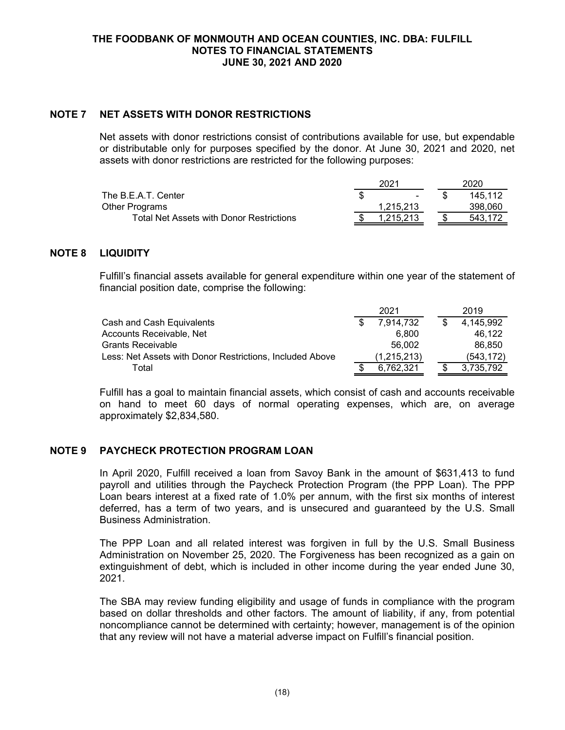## **NOTE 7 NET ASSETS WITH DONOR RESTRICTIONS**

Net assets with donor restrictions consist of contributions available for use, but expendable or distributable only for purposes specified by the donor. At June 30, 2021 and 2020, net assets with donor restrictions are restricted for the following purposes:

|                                          | 2021 |           | 2020    |  |
|------------------------------------------|------|-----------|---------|--|
| The B.E.A.T. Center                      |      |           | 145.112 |  |
| Other Programs                           |      | 1.215.213 | 398.060 |  |
| Total Net Assets with Donor Restrictions |      | 1.215.213 | 543.172 |  |

### **NOTE 8 LIQUIDITY**

Fulfill's financial assets available for general expenditure within one year of the statement of financial position date, comprise the following:

|                                                          | 2021 |             | 2019 |            |
|----------------------------------------------------------|------|-------------|------|------------|
| Cash and Cash Equivalents                                |      | 7.914.732   |      | 4.145.992  |
| Accounts Receivable, Net                                 |      | 6.800       |      | 46.122     |
| Grants Receivable                                        |      | 56.002      |      | 86.850     |
| Less: Net Assets with Donor Restrictions, Included Above |      | (1,215,213) |      | (543, 172) |
| Total                                                    |      | 6.762.321   |      | 3.735.792  |

Fulfill has a goal to maintain financial assets, which consist of cash and accounts receivable on hand to meet 60 days of normal operating expenses, which are, on average approximately \$2,834,580.

## **NOTE 9 PAYCHECK PROTECTION PROGRAM LOAN**

In April 2020, Fulfill received a loan from Savoy Bank in the amount of \$631,413 to fund payroll and utilities through the Paycheck Protection Program (the PPP Loan). The PPP Loan bears interest at a fixed rate of 1.0% per annum, with the first six months of interest deferred, has a term of two years, and is unsecured and guaranteed by the U.S. Small Business Administration.

The PPP Loan and all related interest was forgiven in full by the U.S. Small Business Administration on November 25, 2020. The Forgiveness has been recognized as a gain on extinguishment of debt, which is included in other income during the year ended June 30, 2021.

The SBA may review funding eligibility and usage of funds in compliance with the program based on dollar thresholds and other factors. The amount of liability, if any, from potential noncompliance cannot be determined with certainty; however, management is of the opinion that any review will not have a material adverse impact on Fulfill's financial position.